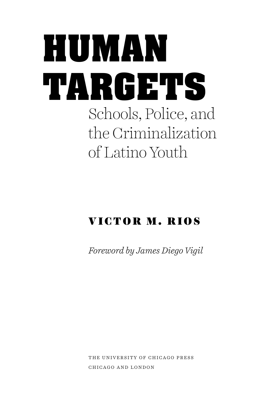# **HUMAN TARGETS** Schools, Police, and the Criminalization of Latino Youth

## Victor M. Rios

*Foreword by James Diego Vigil*

The University of Chicago Press Chicago and London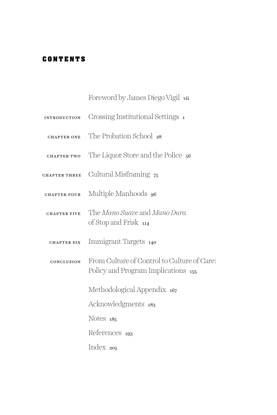## **CONTENTS**

Foreword by James Diego Vigil vii

- Introduction Crossing Institutional Settings <sup>1</sup>
- Chapter One The Probation School <sup>28</sup>
- Chapter Two The Liquor Store and the Police <sup>56</sup>
- CHAPTER THREE Cultural Misframing 75
- Chapter Four Multiple Manhoods <sup>96</sup>
- Chapter Five The *Mano Suave* and *Mano Dura* of Stop and Frisk <sup>114</sup>
- CHAPTER SIX Immigrant Targets 140
- conclusion From Culture of Control to Culture of Care: Policy and Program Implications <sup>155</sup>

Methodological Appendix <sup>167</sup>

- Acknowledgments <sup>183</sup>
- Notes <sup>185</sup>
- References <sup>193</sup>
- Index <sup>205</sup>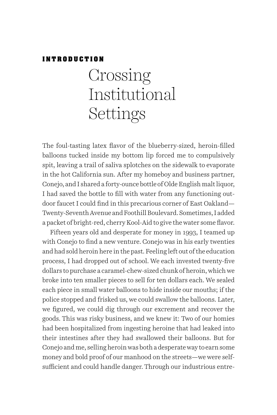## **INTRODUCTION**

## Crossing Institutional Settings

The foul-tasting latex flavor of the blueberry-sized, heroin-filled balloons tucked inside my bottom lip forced me to compulsively spit, leaving a trail of saliva splotches on the sidewalk to evaporate in the hot California sun. After my homeboy and business partner, Conejo, and I shared a forty-ounce bottle of Olde English malt liquor, I had saved the bottle to fill with water from any functioning outdoor faucet I could find in this precarious corner of East Oakland— Twenty-Seventh Avenue and Foothill Boulevard. Sometimes, I added a packet of bright-red, cherry Kool-Aid to give the water some flavor.

Fifteen years old and desperate for money in 1993, I teamed up with Conejo to find a new venture. Conejo was in his early twenties and had sold heroin here in the past. Feeling left out of the education process, I had dropped out of school. We each invested twenty-five dollars to purchase a caramel-chew-sized chunk of heroin, which we broke into ten smaller pieces to sell for ten dollars each. We sealed each piece in small water balloons to hide inside our mouths; if the police stopped and frisked us, we could swallow the balloons. Later, we figured, we could dig through our excrement and recover the goods. This was risky business, and we knew it: Two of our homies had been hospitalized from ingesting heroine that had leaked into their intestines after they had swallowed their balloons. But for Conejo and me, selling heroin was both a desperate way to earn some money and bold proof of our manhood on the streets—we were selfsufficient and could handle danger. Through our industrious entre-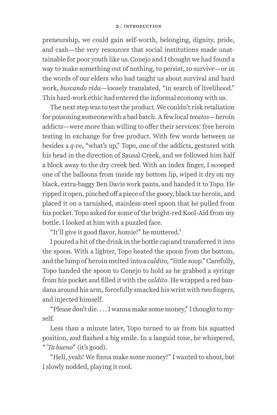preneurship, we could gain self-worth, belonging, dignity, pride, and cash—the very resources that social institutions made unattainable for poor youth like us. Conejo and I thought we had found a way to make something out of nothing, to persist, to survive—or in the words of our elders who had taught us about survival and hard work, *buscando vida*—loosely translated, "in search of livelihood." This hard-work ethic had entered the informal economy with us.

The next step was to test the product. We couldn't risk retaliation for poisoning someone with a bad batch. A few local *tecatos*—heroin addicts—were more than willing to offer their services: free heroin testing in exchange for free product. With few words between us besides a *q-vo*, "what's up," Topo, one of the addicts, gestured with his head in the direction of Sausal Creek, and we followed him half a block away to the dry creek bed. With an index finger, I scooped one of the balloons from inside my bottom lip, wiped it dry on my black, extra-baggy Ben Davis work pants, and handed it to Topo. He ripped it open, pinched off a piece of the gooey, black tar heroin, and placed it on a tarnished, stainless-steel spoon that he pulled from his pocket. Topo asked for some of the bright-red Kool-Aid from my bottle. I looked at him with a puzzled face.

"It'll give it good flavor, homie!" he muttered.<sup>1</sup>

I poured a bit of the drink in the bottle cap and transferred it into the spoon. With a lighter, Topo heated the spoon from the bottom, and the lump of heroin melted into a *caldito*, "little soup." Carefully, Topo handed the spoon to Conejo to hold as he grabbed a syringe from his pocket and filled it with the *caldito*. He wrapped a red bandana around his arm, forcefully smacked his wrist with two fingers, and injected himself.

"Please don't die. . . . I wanna make some money," I thought to myself.

Less than a minute later, Topo turned to us from his squatted position, and flashed a big smile. In a languid tone, he whispered, "*'Ta bueno*" (it's good).

"Hell, yeah! We finna make some money!" I wanted to shout, but I slowly nodded, playing it cool.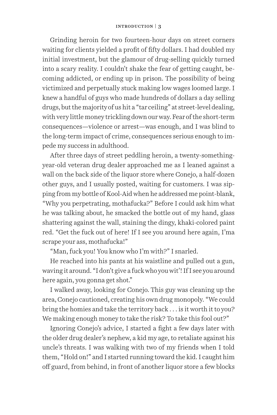Grinding heroin for two fourteen-hour days on street corners waiting for clients yielded a profit of fifty dollars. I had doubled my initial investment, but the glamour of drug-selling quickly turned into a scary reality. I couldn't shake the fear of getting caught, becoming addicted, or ending up in prison. The possibility of being victimized and perpetually stuck making low wages loomed large. I knew a handful of guys who made hundreds of dollars a day selling drugs, but the majority of us hit a "tar ceiling" at street-level dealing, with very little money trickling down our way. Fear of the short-term consequences—violence or arrest—was enough, and I was blind to the long-term impact of crime, consequences serious enough to impede my success in adulthood.

After three days of street peddling heroin, a twenty-somethingyear-old veteran drug dealer approached me as I leaned against a wall on the back side of the liquor store where Conejo, a half-dozen other guys, and I usually posted, waiting for customers. I was sipping from my bottle of Kool-Aid when he addressed me point-blank, "Why you perpetrating, mothafucka?" Before I could ask him what he was talking about, he smacked the bottle out of my hand, glass shattering against the wall, staining the dingy, khaki-colored paint red. "Get the fuck out of here! If I see you around here again, I'ma scrape your ass, mothafucka!"

"Man, fuck you! You know who I'm with?" I snarled.

He reached into his pants at his waistline and pulled out a gun, waving it around. "I don't give a fuck who you wit'! If I see you around here again, you gonna get shot."

I walked away, looking for Conejo. This guy was cleaning up the area, Conejo cautioned, creating his own drug monopoly. "We could bring the homies and take the territory back . . . is it worth it to you? We making enough money to take the risk? To take this fool out?"

Ignoring Conejo's advice, I started a fight a few days later with the older drug dealer's nephew, a kid my age, to retaliate against his uncle's threats. I was walking with two of my friends when I told them, "Hold on!" and I started running toward the kid. I caught him off guard, from behind, in front of another liquor store a few blocks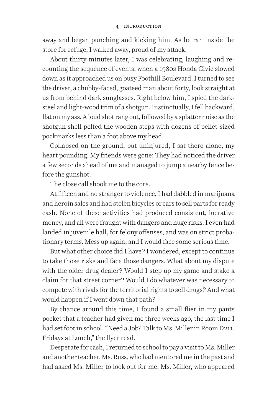away and began punching and kicking him. As he ran inside the store for refuge, I walked away, proud of my attack.

About thirty minutes later, I was celebrating, laughing and recounting the sequence of events, when a 1980s Honda Civic slowed down as it approached us on busy Foothill Boulevard. I turned to see the driver, a chubby-faced, goateed man about forty, look straight at us from behind dark sunglasses. Right below him, I spied the darksteel and light-wood trim of a shotgun. Instinctually, I fell backward, flat on my ass. A loud shot rang out, followed by a splatter noise as the shotgun shell pelted the wooden steps with dozens of pellet-sized pockmarks less than a foot above my head.

Collapsed on the ground, but uninjured, I sat there alone, my heart pounding. My friends were gone: They had noticed the driver a few seconds ahead of me and managed to jump a nearby fence before the gunshot.

The close call shook me to the core.

At fifteen and no stranger to violence, I had dabbled in marijuana and heroin sales and had stolen bicycles or cars to sell parts for ready cash. None of these activities had produced consistent, lucrative money, and all were fraught with dangers and huge risks. I even had landed in juvenile hall, for felony offenses, and was on strict probationary terms. Mess up again, and I would face some serious time.

But what other choice did I have? I wondered, except to continue to take those risks and face those dangers. What about my dispute with the older drug dealer? Would I step up my game and stake a claim for that street corner? Would I do whatever was necessary to compete with rivals for the territorial rights to sell drugs? And what would happen if I went down that path?

By chance around this time, I found a small flier in my pants pocket that a teacher had given me three weeks ago, the last time I had set foot in school. "Need a Job? Talk to Ms. Miller in Room D211. Fridays at Lunch," the flyer read.

Desperate for cash, I returned to school to pay a visit to Ms. Miller and another teacher, Ms. Russ, who had mentored me in the past and had asked Ms. Miller to look out for me. Ms. Miller, who appeared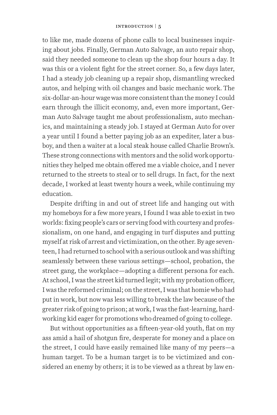to like me, made dozens of phone calls to local businesses inquiring about jobs. Finally, German Auto Salvage, an auto repair shop, said they needed someone to clean up the shop four hours a day. It was this or a violent fight for the street corner. So, a few days later, I had a steady job cleaning up a repair shop, dismantling wrecked autos, and helping with oil changes and basic mechanic work. The six-dollar-an-hour wage was more consistent than the money I could earn through the illicit economy, and, even more important, German Auto Salvage taught me about professionalism, auto mechanics, and maintaining a steady job. I stayed at German Auto for over a year until I found a better paying job as an expediter, later a busboy, and then a waiter at a local steak house called Charlie Brown's. These strong connections with mentors and the solid work opportunities they helped me obtain offered me a viable choice, and I never returned to the streets to steal or to sell drugs. In fact, for the next decade, I worked at least twenty hours a week, while continuing my education.

Despite drifting in and out of street life and hanging out with my homeboys for a few more years, I found I was able to exist in two worlds: fixing people's cars or serving food with courtesy and professionalism, on one hand, and engaging in turf disputes and putting myself at risk of arrest and victimization, on the other. By age seventeen, I had returned to school with a serious outlook and was shifting seamlessly between these various settings—school, probation, the street gang, the workplace—adopting a different persona for each. At school, I was the street kid turned legit; with my probation officer, I was the reformed criminal; on the street, I was that homie who had put in work, but now was less willing to break the law because of the greater risk of going to prison; at work, I was the fast-learning, hardworking kid eager for promotions who dreamed of going to college.

But without opportunities as a fifteen-year-old youth, flat on my ass amid a hail of shotgun fire, desperate for money and a place on the street, I could have easily remained like many of my peers—a human target. To be a human target is to be victimized and considered an enemy by others; it is to be viewed as a threat by law en-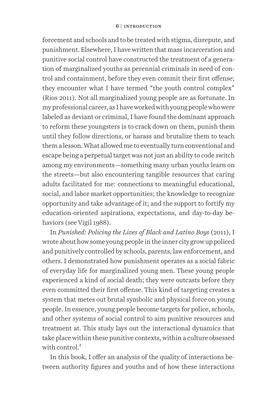forcement and schools and to be treated with stigma, disrepute, and punishment. Elsewhere, I have written that mass incarceration and punitive social control have constructed the treatment of a generation of marginalized youths as perennial criminals in need of control and containment, before they even commit their first offense; they encounter what I have termed "the youth control complex" (Rios 2011). Not all marginalized young people are as fortunate. In my professional career, as I have worked with young people who were labeled as deviant or criminal, I have found the dominant approach to reform these youngsters is to crack down on them, punish them until they follow directions, or harass and brutalize them to teach them a lesson. What allowed me to eventually turn conventional and escape being a perpetual target was not just an ability to code switch among my environments—something many urban youths learn on the streets—but also encountering tangible resources that caring adults facilitated for me: connections to meaningful educational, social, and labor market opportunities; the knowledge to recognize opportunity and take advantage of it; and the support to fortify my education-oriented aspirations, expectations, and day-to-day behaviors (see Vigil 1988).

In *Punished: Policing the Lives of Black and Latino Boys* (2011), I wrote about how some young people in the inner city grow up policed and punitively controlled by schools, parents, law enforcement, and others. I demonstrated how punishment operates as a social fabric of everyday life for marginalized young men. These young people experienced a kind of social death; they were outcasts before they even committed their first offense. This kind of targeting creates a system that metes out brutal symbolic and physical force on young people. In essence, young people become targets for police, schools, and other systems of social control to aim punitive resources and treatment at. This study lays out the interactional dynamics that take place within these punitive contexts, within a culture obsessed with control. $2$ 

In this book, I offer an analysis of the quality of interactions between authority figures and youths and of how these interactions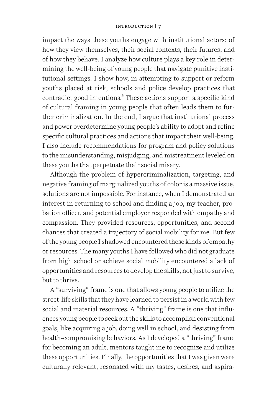impact the ways these youths engage with institutional actors; of how they view themselves, their social contexts, their futures; and of how they behave. I analyze how culture plays a key role in determining the well-being of young people that navigate punitive institutional settings. I show how, in attempting to support or reform youths placed at risk, schools and police develop practices that contradict good intentions.<sup>3</sup> These actions support a specific kind of cultural framing in young people that often leads them to further criminalization. In the end, I argue that institutional process and power overdetermine young people's ability to adopt and refine specific cultural practices and actions that impact their well-being. I also include recommendations for program and policy solutions to the misunderstanding, misjudging, and mistreatment leveled on these youths that perpetuate their social misery.

Although the problem of hypercriminalization, targeting, and negative framing of marginalized youths of color is a massive issue, solutions are not impossible. For instance, when I demonstrated an interest in returning to school and finding a job, my teacher, probation officer, and potential employer responded with empathy and compassion. They provided resources, opportunities, and second chances that created a trajectory of social mobility for me. But few of the young people I shadowed encountered these kinds of empathy or resources. The many youths I have followed who did not graduate from high school or achieve social mobility encountered a lack of opportunities and resources to develop the skills, not just to survive, but to thrive.

A "surviving" frame is one that allows young people to utilize the street-life skills that they have learned to persist in a world with few social and material resources. A "thriving" frame is one that influences young people to seek out the skills to accomplish conventional goals, like acquiring a job, doing well in school, and desisting from health-compromising behaviors. As I developed a "thriving" frame for becoming an adult, mentors taught me to recognize and utilize these opportunities. Finally, the opportunities that I was given were culturally relevant, resonated with my tastes, desires, and aspira-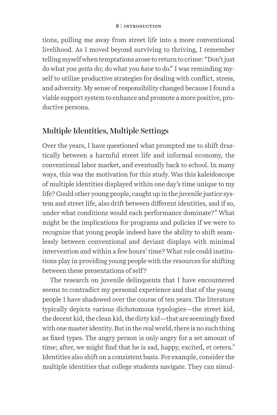## 8 | INTRODUCTION

tions, pulling me away from street life into a more conventional livelihood. As I moved beyond surviving to thriving, I remember telling myself when temptations arose to return to crime: "Don't just do what you *gotta* do; do what you *have* to do." I was reminding myself to utilize productive strategies for dealing with conflict, stress, and adversity. My sense of responsibility changed because I found a viable support system to enhance and promote a more positive, productive persona.

## Multiple Identities, Multiple Settings

Over the years, I have questioned what prompted me to shift drastically between a harmful street life and informal economy, the conventional labor market, and eventually back to school. In many ways, this was the motivation for this study. Was this kaleidoscope of multiple identities displayed within one day's time unique to my life? Could other young people, caught up in the juvenile justice system and street life, also drift between different identities, and if so, under what conditions would each performance dominate?<sup>4</sup> What might be the implications for programs and policies if we were to recognize that young people indeed have the ability to shift seamlessly between conventional and deviant displays with minimal intervention and within a few hours' time? What role could institutions play in providing young people with the resources for shifting between these presentations of self?

The research on juvenile delinquents that I have encountered seems to contradict my personal experience and that of the young people I have shadowed over the course of ten years. The literature typically depicts various dichotomous typologies—the street kid, the decent kid, the clean kid, the dirty kid—that are seemingly fixed with one master identity. But in the real world, there is no such thing as fixed types. The angry person is only angry for a set amount of time; after, we might find that he is sad, happy, excited, et cetera.<sup>5</sup> Identities also shift on a consistent basis. For example, consider the multiple identities that college students navigate. They can simul-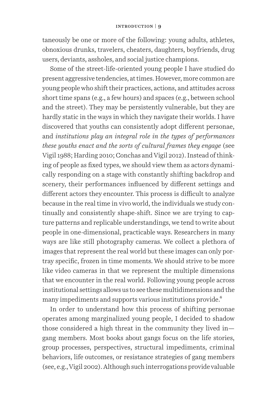taneously be one or more of the following: young adults, athletes, obnoxious drunks, travelers, cheaters, daughters, boyfriends, drug users, deviants, assholes, and social justice champions.

Some of the street-life-oriented young people I have studied do present aggressive tendencies, at times. However, more common are young people who shift their practices, actions, and attitudes across short time spans (e.g., a few hours) and spaces (e.g., between school and the street). They may be persistently vulnerable, but they are hardly static in the ways in which they navigate their worlds. I have discovered that youths can consistently adopt different personae, and *institutions play an integral role in the types of performances these youths enact and the sorts of cultural frames they engage* (see Vigil 1988; Harding 2010; Conchas and Vigil 2012). Instead of thinking of people as fixed types, we should view them as actors dynamically responding on a stage with constantly shifting backdrop and scenery, their performances influenced by different settings and different actors they encounter. This process is difficult to analyze because in the real time in vivo world, the individuals we study continually and consistently shape-shift. Since we are trying to capture patterns and replicable understandings, we tend to write about people in one-dimensional, practicable ways. Researchers in many ways are like still photography cameras. We collect a plethora of images that represent the real world but these images can only portray specific, frozen in time moments. We should strive to be more like video cameras in that we represent the multiple dimensions that we encounter in the real world. Following young people across institutional settings allows us to see these multidimensions and the many impediments and supports various institutions provide.<sup>6</sup>

In order to understand how this process of shifting personae operates among marginalized young people, I decided to shadow those considered a high threat in the community they lived in gang members. Most books about gangs focus on the life stories, group processes, perspectives, structural impediments, criminal behaviors, life outcomes, or resistance strategies of gang members (see, e.g., Vigil 2002). Although such interrogations provide valuable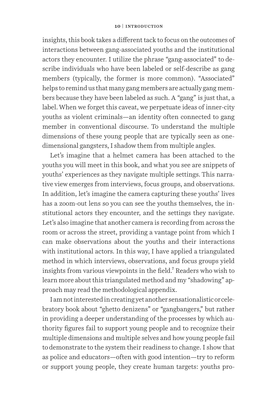#### 10 | INTRODUCTION

insights, this book takes a different tack to focus on the outcomes of interactions between gang-associated youths and the institutional actors they encounter. I utilize the phrase "gang-associated" to describe individuals who have been labeled or self-describe as gang members (typically, the former is more common). "Associated" helps to remind us that many gang members are actually gang members because they have been labeled as such. A "gang" is just that, a label. When we forget this caveat, we perpetuate ideas of inner-city youths as violent criminals—an identity often connected to gang member in conventional discourse. To understand the multiple dimensions of these young people that are typically seen as onedimensional gangsters, I shadow them from multiple angles.

Let's imagine that a helmet camera has been attached to the youths you will meet in this book, and what you see are snippets of youths' experiences as they navigate multiple settings. This narrative view emerges from interviews, focus groups, and observations. In addition, let's imagine the camera capturing these youths' lives has a zoom-out lens so you can see the youths themselves, the institutional actors they encounter, and the settings they navigate. Let's also imagine that another camera is recording from across the room or across the street, providing a vantage point from which I can make observations about the youths and their interactions with institutional actors. In this way, I have applied a triangulated method in which interviews, observations, and focus groups yield insights from various viewpoints in the field.7 Readers who wish to learn more about this triangulated method and my "shadowing" approach may read the methodological appendix.

I am not interested in creating yet another sensationalistic or celebratory book about "ghetto denizens" or "gangbangers," but rather in providing a deeper understanding of the processes by which authority figures fail to support young people and to recognize their multiple dimensions and multiple selves and how young people fail to demonstrate to the system their readiness to change. I show that as police and educators—often with good intention—try to reform or support young people, they create human targets: youths pro-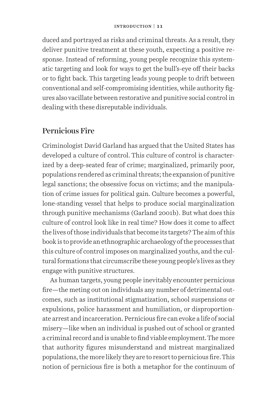duced and portrayed as risks and criminal threats. As a result, they deliver punitive treatment at these youth, expecting a positive response. Instead of reforming, young people recognize this systematic targeting and look for ways to get the bull's-eye off their backs or to fight back. This targeting leads young people to drift between conventional and self-compromising identities, while authority figures also vacillate between restorative and punitive social control in dealing with these disreputable individuals.

## Pernicious Fire

Criminologist David Garland has argued that the United States has developed a culture of control. This culture of control is characterized by a deep-seated fear of crime; marginalized, primarily poor, populations rendered as criminal threats; the expansion of punitive legal sanctions; the obsessive focus on victims; and the manipulation of crime issues for political gain. Culture becomes a powerful, lone-standing vessel that helps to produce social marginalization through punitive mechanisms (Garland 2001b). But what does this culture of control look like in real time? How does it come to affect the lives of those individuals that become its targets? The aim of this book is to provide an ethnographic archaeology of the processes that this culture of control imposes on marginalized youths, and the cultural formations that circumscribe these young people's lives as they engage with punitive structures.

As human targets, young people inevitably encounter pernicious fire—the meting out on individuals any number of detrimental outcomes, such as institutional stigmatization, school suspensions or expulsions, police harassment and humiliation, or disproportionate arrest and incarceration. Pernicious fire can evoke a life of social misery—like when an individual is pushed out of school or granted a criminal record and is unable to find viable employment. The more that authority figures misunderstand and mistreat marginalized populations, the more likely they are to resort to pernicious fire. This notion of pernicious fire is both a metaphor for the continuum of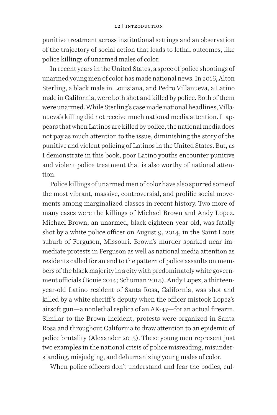punitive treatment across institutional settings and an observation of the trajectory of social action that leads to lethal outcomes, like police killings of unarmed males of color.

In recent years in the United States, a spree of police shootings of unarmed young men of color has made national news. In 2016, Alton Sterling, a black male in Louisiana, and Pedro Villanueva, a Latino male in California, were both shot and killed by police. Both of them were unarmed. While Sterling's case made national headlines, Villanueva's killing did not receive much national media attention. It appears that when Latinos are killed by police, the national media does not pay as much attention to the issue, diminishing the story of the punitive and violent policing of Latinos in the United States. But, as I demonstrate in this book, poor Latino youths encounter punitive and violent police treatment that is also worthy of national attention.

Police killings of unarmed men of color have also spurred some of the most vibrant, massive, controversial, and prolific social movements among marginalized classes in recent history. Two more of many cases were the killings of Michael Brown and Andy Lopez. Michael Brown, an unarmed, black eighteen-year-old, was fatally shot by a white police officer on August 9, 2014, in the Saint Louis suburb of Ferguson, Missouri. Brown's murder sparked near immediate protests in Ferguson as well as national media attention as residents called for an end to the pattern of police assaults on members of the black majority in a city with predominately white government officials (Bouie 2014; Schuman 2014). Andy Lopez, a thirteenyear-old Latino resident of Santa Rosa, California, was shot and killed by a white sheriff's deputy when the officer mistook Lopez's airsoft gun—a nonlethal replica of an AK-47—for an actual firearm. Similar to the Brown incident, protests were organized in Santa Rosa and throughout California to draw attention to an epidemic of police brutality (Alexander 2013). These young men represent just two examples in the national crisis of police misreading, misunderstanding, misjudging, and dehumanizing young males of color.

When police officers don't understand and fear the bodies, cul-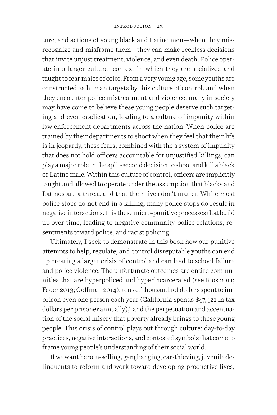ture, and actions of young black and Latino men—when they misrecognize and misframe them—they can make reckless decisions that invite unjust treatment, violence, and even death. Police operate in a larger cultural context in which they are socialized and taught to fear males of color. From a very young age, some youths are constructed as human targets by this culture of control, and when they encounter police mistreatment and violence, many in society may have come to believe these young people deserve such targeting and even eradication, leading to a culture of impunity within law enforcement departments across the nation. When police are trained by their departments to shoot when they feel that their life is in jeopardy, these fears, combined with the a system of impunity that does not hold officers accountable for unjustified killings, can play a major role in the split-second decision to shoot and kill a black or Latino male. Within this culture of control, officers are implicitly taught and allowed to operate under the assumption that blacks and Latinos are a threat and that their lives don't matter. While most police stops do not end in a killing, many police stops do result in negative interactions. It is these micro-punitive processes that build up over time, leading to negative community-police relations, resentments toward police, and racist policing.

Ultimately, I seek to demonstrate in this book how our punitive attempts to help, regulate, and control disreputable youths can end up creating a larger crisis of control and can lead to school failure and police violence. The unfortunate outcomes are entire communities that are hyperpoliced and hyperincarcerated (see Rios 2011; Fader 2013; Goffman 2014), tens of thousands of dollars spent to imprison even one person each year (California spends \$47,421 in tax  $dollars per prisoner annually)$ , $<sup>8</sup>$  and the perpetuation and accentua-</sup> tion of the social misery that poverty already brings to these young people. This crisis of control plays out through culture: day-to-day practices, negative interactions, and contested symbols that come to frame young people's understanding of their social world.

If we want heroin-selling, gangbanging, car-thieving, juvenile delinquents to reform and work toward developing productive lives,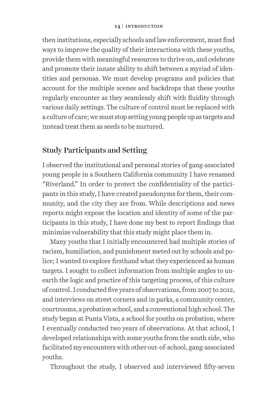## 14 | INTRODUCTION

then institutions, especially schools and law enforcement, must find ways to improve the quality of their interactions with these youths, provide them with meaningful resources to thrive on, and celebrate and promote their innate ability to shift between a myriad of identities and personas. We must develop programs and policies that account for the multiple scenes and backdrops that these youths regularly encounter as they seamlessly shift with fluidity through various daily settings. The culture of control must be replaced with a culture of care; we must stop setting young people up as targets and instead treat them as seeds to be nurtured.

## Study Participants and Setting

I observed the institutional and personal stories of gang-associated young people in a Southern California community I have renamed "Riverland." In order to protect the confidentiality of the participants in this study, I have created pseudonyms for them, their community, and the city they are from. While descriptions and news reports might expose the location and identity of some of the participants in this study, I have done my best to report findings that minimize vulnerability that this study might place them in.

Many youths that I initially encountered had multiple stories of racism, humiliation, and punishment meted out by schools and police; I wanted to explore firsthand what they experienced as human targets. I sought to collect information from multiple angles to unearth the logic and practice of this targeting process, of this culture of control. I conducted five years of observations, from 2007 to 2012, and interviews on street corners and in parks, a community center, courtrooms, a probation school, and a conventional high school. The study began at Punta Vista, a school for youths on probation, where I eventually conducted two years of observations. At that school, I developed relationships with some youths from the south side, who facilitated my encounters with other out-of-school, gang-associated youths.

Throughout the study, I observed and interviewed fifty-seven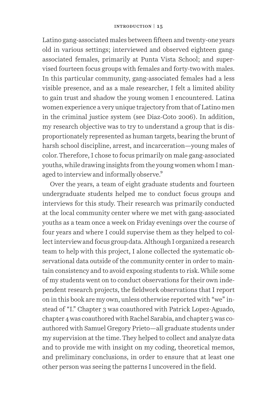Latino gang-associated males between fifteen and twenty-one years old in various settings; interviewed and observed eighteen gangassociated females, primarily at Punta Vista School; and supervised fourteen focus groups with females and forty-two with males. In this particular community, gang-associated females had a less visible presence, and as a male researcher, I felt a limited ability to gain trust and shadow the young women I encountered. Latina women experience a very unique trajectory from that of Latino men in the criminal justice system (see Diaz-Coto 2006). In addition, my research objective was to try to understand a group that is disproportionately represented as human targets, bearing the brunt of harsh school discipline, arrest, and incarceration—young males of color. Therefore, I chose to focus primarily on male gang-associated youths, while drawing insights from the young women whom I managed to interview and informally observe.<sup>9</sup>

Over the years, a team of eight graduate students and fourteen undergraduate students helped me to conduct focus groups and interviews for this study. Their research was primarily conducted at the local community center where we met with gang-associated youths as a team once a week on Friday evenings over the course of four years and where I could supervise them as they helped to collect interview and focus group data. Although I organized a research team to help with this project, I alone collected the systematic observational data outside of the community center in order to maintain consistency and to avoid exposing students to risk. While some of my students went on to conduct observations for their own independent research projects, the fieldwork observations that I report on in this book are my own, unless otherwise reported with "we" instead of "I." Chapter 3 was coauthored with Patrick Lopez-Aguado, chapter 4 was coauthored with Rachel Sarabia, and chapter 5 was coauthored with Samuel Gregory Prieto—all graduate students under my supervision at the time. They helped to collect and analyze data and to provide me with insight on my coding, theoretical memos, and preliminary conclusions, in order to ensure that at least one other person was seeing the patterns I uncovered in the field.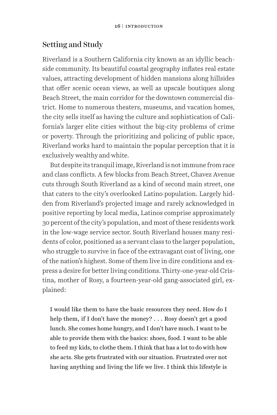## Setting and Study

Riverland is a Southern California city known as an idyllic beachside community. Its beautiful coastal geography inflates real estate values, attracting development of hidden mansions along hillsides that offer scenic ocean views, as well as upscale boutiques along Beach Street, the main corridor for the downtown commercial district. Home to numerous theaters, museums, and vacation homes, the city sells itself as having the culture and sophistication of California's larger elite cities without the big-city problems of crime or poverty. Through the prioritizing and policing of public space, Riverland works hard to maintain the popular perception that it is exclusively wealthy and white.

But despite its tranquil image, Riverland is not immune from race and class conflicts. A few blocks from Beach Street, Chavez Avenue cuts through South Riverland as a kind of second main street, one that caters to the city's overlooked Latino population. Largely hidden from Riverland's projected image and rarely acknowledged in positive reporting by local media, Latinos comprise approximately 30 percent of the city's population, and most of these residents work in the low-wage service sector. South Riverland houses many residents of color, positioned as a servant class to the larger population, who struggle to survive in face of the extravagant cost of living, one of the nation's highest. Some of them live in dire conditions and express a desire for better living conditions. Thirty-one-year-old Cristina, mother of Rosy, a fourteen-year-old gang-associated girl, explained:

I would like them to have the basic resources they need. How do I help them, if I don't have the money? . . . Rosy doesn't get a good lunch. She comes home hungry, and I don't have much. I want to be able to provide them with the basics: shoes, food. I want to be able to feed my kids, to clothe them. I think that has a lot to do with how she acts. She gets frustrated with our situation. Frustrated over not having anything and living the life we live. I think this lifestyle is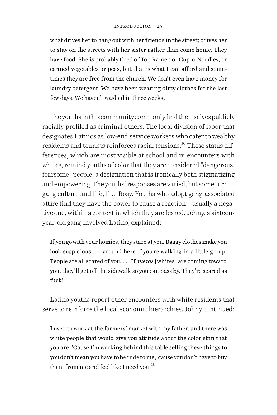what drives her to hang out with her friends in the street; drives her to stay on the streets with her sister rather than come home. They have food. She is probably tired of Top Ramen or Cup-o-Noodles, or canned vegetables or peas, but that is what I can afford and sometimes they are free from the church. We don't even have money for laundry detergent. We have been wearing dirty clothes for the last few days. We haven't washed in three weeks.

The youths in this community commonly find themselves publicly racially profiled as criminal others. The local division of labor that designates Latinos as low-end service workers who cater to wealthy residents and tourists reinforces racial tensions.<sup>10</sup> These status differences, which are most visible at school and in encounters with whites, remind youths of color that they are considered "dangerous, fearsome" people, a designation that is ironically both stigmatizing and empowering. The youths' responses are varied, but some turn to gang culture and life, like Rosy. Youths who adopt gang-associated attire find they have the power to cause a reaction—usually a negative one, within a context in which they are feared. Johny, a sixteenyear-old gang-involved Latino, explained:

If you go with your homies, they stare at you. Baggy clothes make you look suspicious . . . around here if you're walking in a little group. People are all scared of you. . . . If *gueros* [whites] are coming toward you, they'll get off the sidewalk so you can pass by. They're scared as fuck!

Latino youths report other encounters with white residents that serve to reinforce the local economic hierarchies. Johny continued:

I used to work at the farmers' market with my father, and there was white people that would give you attitude about the color skin that you are. 'Cause I'm working behind this table selling these things to you don't mean you have to be rude to me, 'cause you don't have to buy them from me and feel like I need you.<sup>11</sup>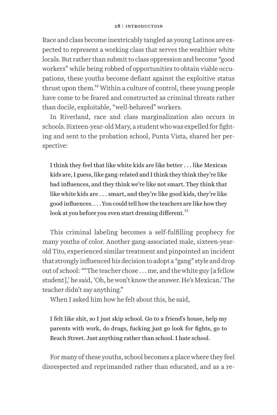## 18 | INTRODUCTION

Race and class become inextricably tangled as young Latinos are expected to represent a working class that serves the wealthier white locals. But rather than submit to class oppression and become "good workers" while being robbed of opportunities to obtain viable occupations, these youths become defiant against the exploitive status thrust upon them.<sup>12</sup> Within a culture of control, these young people have come to be feared and constructed as criminal threats rather than docile, exploitable, "well-behaved" workers.

In Riverland, race and class marginalization also occurs in schools. Sixteen-year-old Mary, a student who was expelled for fighting and sent to the probation school, Punta Vista, shared her perspective:

I think they feel that like white kids are like better . . . like Mexican kids are, I guess, like gang-related and I think they think they're like bad influences, and they think we're like not smart. They think that like white kids are . . . smart, and they're like good kids, they're like good influences. . . . You could tell how the teachers are like how they look at you before you even start dressing different.<sup>13</sup>

This criminal labeling becomes a self-fulfilling prophecy for many youths of color. Another gang-associated male, sixteen-yearold Tito, experienced similar treatment and pinpointed an incident that strongly influenced his decision to adopt a "gang" style and drop out of school: ""The teacher chose . . . me, and the white guy [a fellow student],' he said, 'Oh, he won't know the answer. He's Mexican.' The teacher didn't say anything."

When I asked him how he felt about this, he said,

I felt like shit, so I just skip school. Go to a friend's house, help my parents with work, do drugs, fucking just go look for fights, go to Beach Street. Just anything rather than school. I hate school.

For many of these youths, school becomes a place where they feel disrespected and reprimanded rather than educated, and as a re-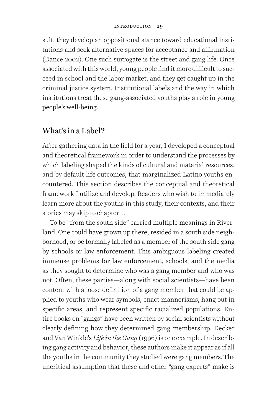sult, they develop an oppositional stance toward educational institutions and seek alternative spaces for acceptance and affirmation (Dance 2002). One such surrogate is the street and gang life. Once associated with this world, young people find it more difficult to succeed in school and the labor market, and they get caught up in the criminal justice system. Institutional labels and the way in which institutions treat these gang-associated youths play a role in young people's well-being.

## What's in a Label?

After gathering data in the field for a year, I developed a conceptual and theoretical framework in order to understand the processes by which labeling shaped the kinds of cultural and material resources, and by default life outcomes, that marginalized Latino youths encountered. This section describes the conceptual and theoretical framework I utilize and develop. Readers who wish to immediately learn more about the youths in this study, their contexts, and their stories may skip to chapter 1.

To be "from the south side" carried multiple meanings in Riverland. One could have grown up there, resided in a south side neighborhood, or be formally labeled as a member of the south side gang by schools or law enforcement. This ambiguous labeling created immense problems for law enforcement, schools, and the media as they sought to determine who was a gang member and who was not. Often, these parties—along with social scientists—have been content with a loose definition of a gang member that could be applied to youths who wear symbols, enact mannerisms, hang out in specific areas, and represent specific racialized populations. Entire books on "gangs" have been written by social scientists without clearly defining how they determined gang membership. Decker and Van Winkle's *Life in the Gang* (1996) is one example. In describing gang activity and behavior, these authors make it appear as if all the youths in the community they studied were gang members. The uncritical assumption that these and other "gang experts" make is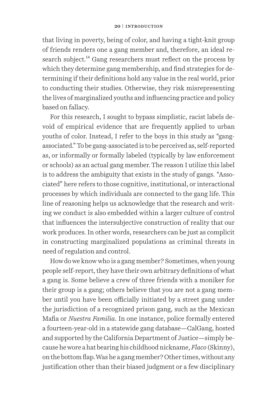that living in poverty, being of color, and having a tight-knit group of friends renders one a gang member and, therefore, an ideal research subject.<sup>14</sup> Gang researchers must reflect on the process by which they determine gang membership, and find strategies for determining if their definitions hold any value in the real world, prior to conducting their studies. Otherwise, they risk misrepresenting the lives of marginalized youths and influencing practice and policy based on fallacy.

For this research, I sought to bypass simplistic, racist labels devoid of empirical evidence that are frequently applied to urban youths of color. Instead, I refer to the boys in this study as "gangassociated." To be gang-associated is to be perceived as, self-reported as, or informally or formally labeled (typically by law enforcement or schools) as an actual gang member. The reason I utilize this label is to address the ambiguity that exists in the study of gangs. "Associated" here refers to those cognitive, institutional, or interactional processes by which individuals are connected to the gang life. This line of reasoning helps us acknowledge that the research and writing we conduct is also embedded within a larger culture of control that influences the intersubjective construction of reality that our work produces. In other words, researchers can be just as complicit in constructing marginalized populations as criminal threats in need of regulation and control.

How do we know who is a gang member? Sometimes, when young people self-report, they have their own arbitrary definitions of what a gang is. Some believe a crew of three friends with a moniker for their group is a gang; others believe that you are not a gang member until you have been officially initiated by a street gang under the jurisdiction of a recognized prison gang, such as the Mexican Mafia or *Nuestra Familia*. In one instance, police formally entered a fourteen-year-old in a statewide gang database—CalGang, hosted and supported by the California Department of Justice—simply because he wore a hat bearing his childhood nickname, *Flaco* (Skinny), on the bottom flap. Was he a gang member? Other times, without any justification other than their biased judgment or a few disciplinary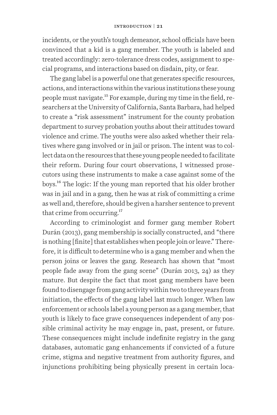incidents, or the youth's tough demeanor, school officials have been convinced that a kid is a gang member. The youth is labeled and treated accordingly: zero-tolerance dress codes, assignment to special programs, and interactions based on disdain, pity, or fear.

The gang label is a powerful one that generates specific resources, actions, and interactions within the various institutions these young people must navigate.<sup>15</sup> For example, during my time in the field, researchers at the University of California, Santa Barbara, had helped to create a "risk assessment" instrument for the county probation department to survey probation youths about their attitudes toward violence and crime. The youths were also asked whether their relatives where gang involved or in jail or prison. The intent was to collect data on the resources that these young people needed to facilitate their reform. During four court observations, I witnessed prosecutors using these instruments to make a case against some of the boys.16 The logic: If the young man reported that his older brother was in jail and in a gang, then he was at risk of committing a crime as well and, therefore, should be given a harsher sentence to prevent that crime from occurring.<sup>17</sup>

According to criminologist and former gang member Robert Durán (2013), gang membership is socially constructed, and "there is nothing [finite] that establishes when people join or leave." Therefore, it is difficult to determine who is a gang member and when the person joins or leaves the gang. Research has shown that "most people fade away from the gang scene" (Durán 2013, 24) as they mature. But despite the fact that most gang members have been found to disengage from gang activity within two to three years from initiation, the effects of the gang label last much longer. When law enforcement or schools label a young person as a gang member, that youth is likely to face grave consequences independent of any possible criminal activity he may engage in, past, present, or future. These consequences might include indefinite registry in the gang databases, automatic gang enhancements if convicted of a future crime, stigma and negative treatment from authority figures, and injunctions prohibiting being physically present in certain loca-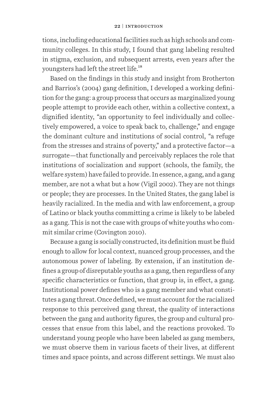tions, including educational facilities such as high schools and community colleges. In this study, I found that gang labeling resulted in stigma, exclusion, and subsequent arrests, even years after the youngsters had left the street life.18

Based on the findings in this study and insight from Brotherton and Barrios's (2004) gang definition, I developed a working definition for the gang: a group process that occurs as marginalized young people attempt to provide each other, within a collective context, a dignified identity, "an opportunity to feel individually and collectively empowered, a voice to speak back to, challenge," and engage the dominant culture and institutions of social control, "a refuge from the stresses and strains of poverty," and a protective factor—a surrogate—that functionally and perceivably replaces the role that institutions of socialization and support (schools, the family, the welfare system) have failed to provide. In essence, a gang, and a gang member, are not a what but a how (Vigil 2002). They are not things or people; they are processes. In the United States, the gang label is heavily racialized. In the media and with law enforcement, a group of Latino or black youths committing a crime is likely to be labeled as a gang. This is not the case with groups of white youths who commit similar crime (Covington 2010).

Because a gang is socially constructed, its definition must be fluid enough to allow for local context, nuanced group processes, and the autonomous power of labeling. By extension, if an institution defines a group of disreputable youths as a gang, then regardless of any specific characteristics or function, that group is, in effect, a gang. Institutional power defines who is a gang member and what constitutes a gang threat. Once defined, we must account for the racialized response to this perceived gang threat, the quality of interactions between the gang and authority figures, the group and cultural processes that ensue from this label, and the reactions provoked. To understand young people who have been labeled as gang members, we must observe them in various facets of their lives, at different times and space points, and across different settings. We must also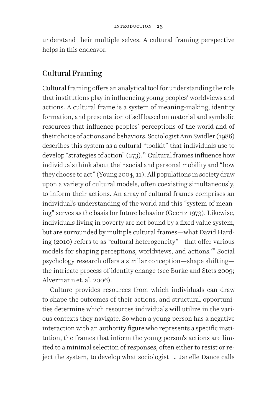understand their multiple selves. A cultural framing perspective helps in this endeavor.

## Cultural Framing

Cultural framing offers an analytical tool for understanding the role that institutions play in influencing young peoples' worldviews and actions. A cultural frame is a system of meaning-making, identity formation, and presentation of self based on material and symbolic resources that influence peoples' perceptions of the world and of their choice of actions and behaviors. Sociologist Ann Swidler (1986) describes this system as a cultural "toolkit" that individuals use to develop "strategies of action"  $(273)$ .<sup>19</sup> Cultural frames influence how individuals think about their social and personal mobility and "how they choose to act" (Young 2004, 11). All populations in society draw upon a variety of cultural models, often coexisting simultaneously, to inform their actions. An array of cultural frames comprises an individual's understanding of the world and this "system of meaning" serves as the basis for future behavior (Geertz 1973). Likewise, individuals living in poverty are not bound by a fixed value system, but are surrounded by multiple cultural frames—what David Harding (2010) refers to as "cultural heterogeneity"—that offer various models for shaping perceptions, worldviews, and actions.<sup>20</sup> Social psychology research offers a similar conception—shape shifting the intricate process of identity change (see Burke and Stets 2009; Alvermann et. al. 2006).

Culture provides resources from which individuals can draw to shape the outcomes of their actions, and structural opportunities determine which resources individuals will utilize in the various contexts they navigate. So when a young person has a negative interaction with an authority figure who represents a specific institution, the frames that inform the young person's actions are limited to a minimal selection of responses, often either to resist or reject the system, to develop what sociologist L. Janelle Dance calls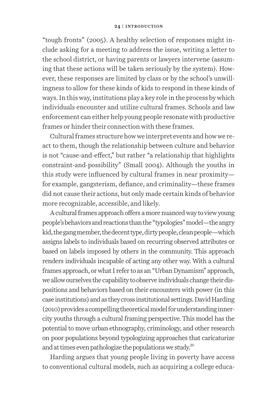"tough fronts" (2005). A healthy selection of responses might include asking for a meeting to address the issue, writing a letter to the school district, or having parents or lawyers intervene (assuming that these actions will be taken seriously by the system). However, these responses are limited by class or by the school's unwillingness to allow for these kinds of kids to respond in these kinds of ways. In this way, institutions play a key role in the process by which individuals encounter and utilize cultural frames. Schools and law enforcement can either help young people resonate with productive frames or hinder their connection with these frames.

Cultural frames structure how we interpret events and how we react to them, though the relationship between culture and behavior is not "cause-and-effect," but rather "a relationship that highlights constraint-and-possibility" (Small 2004). Although the youths in this study were influenced by cultural frames in near proximity for example, gangsterism, defiance, and criminality—these frames did not cause their actions, but only made certain kinds of behavior more recognizable, accessible, and likely.

A cultural frames approach offers a more nuanced way to view young people's behaviors and reactions than the "typologies" model—the angry kid, the gang member, the decent type, dirty people, clean people—which assigns labels to individuals based on recurring observed attributes or based on labels imposed by others in the community. This approach renders individuals incapable of acting any other way. With a cultural frames approach, or what I refer to as an "Urban Dynamism" approach, we allow ourselves the capability to observe individuals change their dispositions and behaviors based on their encounters with power (in this case institutions) and as they cross institutional settings. David Harding (2010) provides a compelling theoretical model for understanding innercity youths through a cultural framing perspective. This model has the potential to move urban ethnography, criminology, and other research on poor populations beyond typologizing approaches that caricaturize and at times even pathologize the populations we study.<sup>21</sup>

Harding argues that young people living in poverty have access to conventional cultural models, such as acquiring a college educa-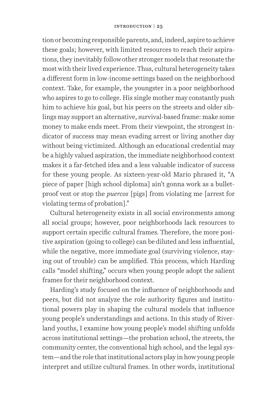tion or becoming responsible parents, and, indeed, aspire to achieve these goals; however, with limited resources to reach their aspirations, they inevitably follow other stronger models that resonate the most with their lived experience. Thus, cultural heterogeneity takes a different form in low-income settings based on the neighborhood context. Take, for example, the youngster in a poor neighborhood who aspires to go to college. His single mother may constantly push him to achieve his goal, but his peers on the streets and older siblings may support an alternative, survival-based frame: make some money to make ends meet. From their viewpoint, the strongest indicator of success may mean evading arrest or living another day without being victimized. Although an educational credential may be a highly valued aspiration, the immediate neighborhood context makes it a far-fetched idea and a less valuable indicator of success for these young people. As sixteen-year-old Mario phrased it, "A piece of paper [high school diploma] ain't gonna work as a bulletproof vest or stop the *puercos* [pigs] from violating me [arrest for violating terms of probation]."

Cultural heterogeneity exists in all social environments among all social groups; however, poor neighborhoods lack resources to support certain specific cultural frames. Therefore, the more positive aspiration (going to college) can be diluted and less influential, while the negative, more immediate goal (surviving violence, staying out of trouble) can be amplified. This process, which Harding calls "model shifting," occurs when young people adopt the salient frames for their neighborhood context.

Harding's study focused on the influence of neighborhoods and peers, but did not analyze the role authority figures and institutional powers play in shaping the cultural models that influence young people's understandings and actions. In this study of Riverland youths, I examine how young people's model shifting unfolds across institutional settings—the probation school, the streets, the community center, the conventional high school, and the legal system—and the role that institutional actors play in how young people interpret and utilize cultural frames. In other words, institutional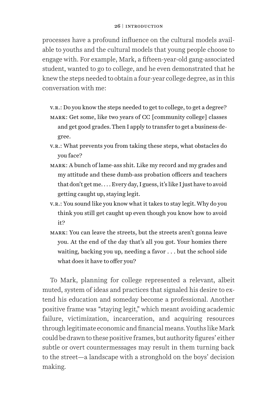processes have a profound influence on the cultural models available to youths and the cultural models that young people choose to engage with. For example, Mark, a fifteen-year-old gang-associated student, wanted to go to college, and he even demonstrated that he knew the steps needed to obtain a four-year college degree, as in this conversation with me:

V.R.: Do you know the steps needed to get to college, to get a degree?

- Mark: Get some, like two years of CC [community college] classes and get good grades. Then I apply to transfer to get a business degree.
- V.R.: What prevents you from taking these steps, what obstacles do you face?
- Mark: A bunch of lame-ass shit. Like my record and my grades and my attitude and these dumb-ass probation officers and teachers that don't get me. . . . Every day, I guess, it's like I just have to avoid getting caught up, staying legit.
- V.R.: You sound like you know what it takes to stay legit. Why do you think you still get caught up even though you know how to avoid it?
- Mark: You can leave the streets, but the streets aren't gonna leave you. At the end of the day that's all you got. Your homies there waiting, backing you up, needing a favor . . . but the school side what does it have to offer you?

To Mark, planning for college represented a relevant, albeit muted, system of ideas and practices that signaled his desire to extend his education and someday become a professional. Another positive frame was "staying legit," which meant avoiding academic failure, victimization, incarceration, and acquiring resources through legitimate economic and financial means. Youths like Mark could be drawn to these positive frames, but authority figures' either subtle or overt countermessages may result in them turning back to the street—a landscape with a stronghold on the boys' decision making.